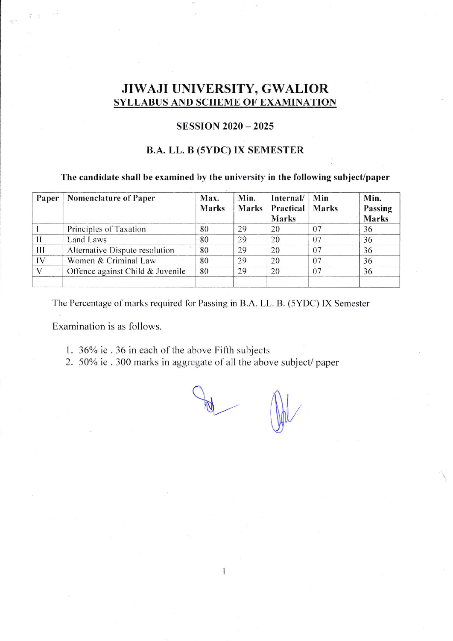# JIWAJI UNIVERSITY, GWALIOR **SYLLABUS AND SCHEME OF EXAMINATION**

## **SESSION 2020 - 2025**

# **B.A. LL. B (5YDC) IX SEMESTER**

# The candidate shall be examined by the university in the following subject/paper

| Paper | <b>Nomenclature of Paper</b>     | Max.<br><b>Marks</b> | Min.<br>Marks | Internal/<br>Practical<br>Marks | Min<br><b>Marks</b> | Min.<br>Passing<br><b>Marks</b> |
|-------|----------------------------------|----------------------|---------------|---------------------------------|---------------------|---------------------------------|
|       | Principles of Taxation           | 80                   | 29            | 20                              | 07                  | 36                              |
|       | Land Laws                        | 80                   | 29            | 20                              | 07                  | 36                              |
| Ш     | Alternative Dispute resolution   | 80                   | 29            | 20                              | 07                  | 36                              |
| IV    | Women & Criminal Law             | 80                   | 29            | 20                              | 07                  | 36                              |
|       | Offence against Child & Juvenile | 80                   | 29            | 20                              | 07                  | 36                              |

The Percentage of marks required for Passing in B.A. LL. B. (5YDC) IX Semester

Examination is as follows.

- 1. 36% ie . 36 in each of the above Fifth subjects
- 2. 50% ie . 300 marks in aggregate of all the above subject/ paper

 $\mathbf{1}$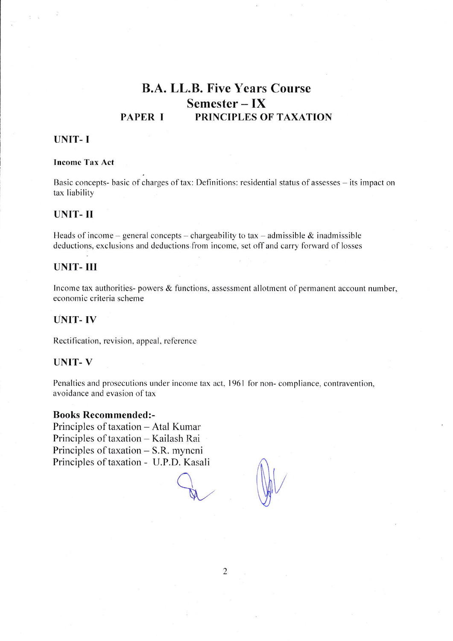## **B.A. LL.B. Five Years Course** Semester  $-$  IX PRINCIPLES OF TAXATION **PAPER I**

# **UNIT-I**

#### **Income Tax Act**

Basic concepts- basic of charges of tax: Definitions: residential status of assesses – its impact on tax liability

### **UNIT-II**

Heads of income – general concepts – chargeability to tax – admissible & inadmissible deductions, exclusions and deductions from income, set off and carry forward of losses

## **UNIT-III**

Income tax authorities- powers & functions, assessment allotment of permanent account number, economic criteria scheme

#### **UNIT-IV**

Rectification, revision, appeal, reference

#### **UNIT-V**

Penalties and prosecutions under income tax act, 1961 for non-compliance, contravention, avoidance and evasion of tax

#### **Books Recommended:-**

Principles of taxation - Atal Kumar Principles of taxation - Kailash Rai Principles of taxation – S.R. myncni Principles of taxation - U.P.D. Kasali

 $\overline{2}$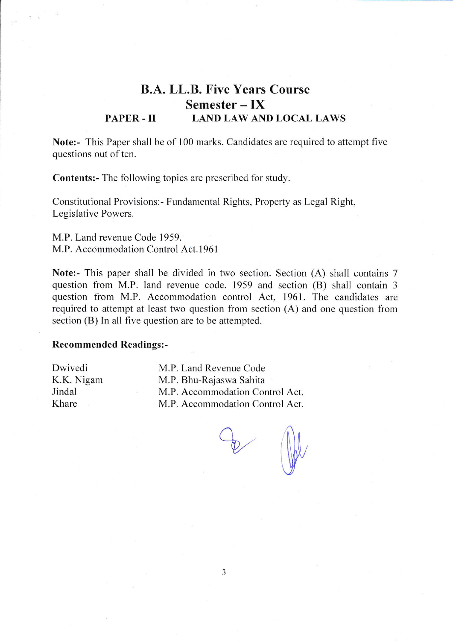# B.A. LL.B. Five Years Course Semester – IX PAPER - II LAND LAW AND LOCAL LAWS

Note:- This Paper shall be of 100 marks. Candidates are required to attempt five questions out of ten.

**Contents:**- The following topics are prescribed for study.

Constitutional Provisions:- Fundamental Rights, Property as Legal Right, Legislative Powers.

M.P. Land revenue Code 1959. M.P. Accommodation Control Act. 1961

Note:- This paper shall be divided in two section. Section (A) shall contains 7 question from M.P. land revenue code. 1959 and section (B) shail contain <sup>3</sup> question from M.P. Accommodation control Act, 1961. The candidates are required to attempt at least two question from section (A) and one question from section  $(B)$  In all five question are to be attempted.

#### Recommended Readings:-

Dwivedi K.K. Nigam Jindal Khare

M.P. Land Revenue Code M.P. Bhu-Rajaswa Sahita M.P. Accommodation Control Act. M.P. Accommodation Control Act.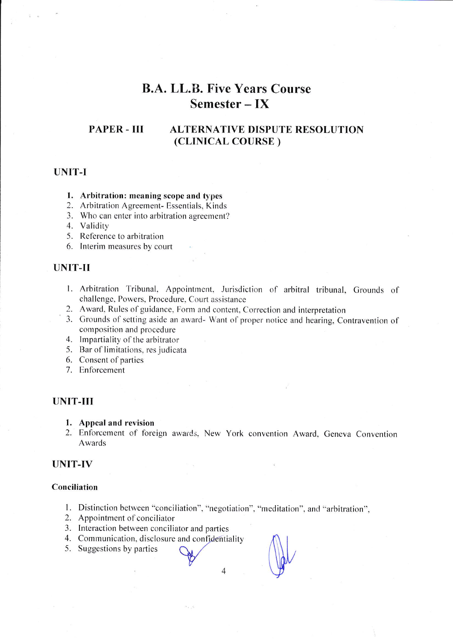# **B.A. LL.B. Five Years Course**  $Semester - IX$

#### **PAPER - III ALTERNATIVE DISPUTE RESOLUTION** (CLINICAL COURSE)

## **UNIT-I**

#### 1. Arbitration: meaning scope and types

- 2. Arbitration Agreement- Essentials, Kinds
- 3. Who can enter into arbitration agreement?
- 4. Validity
- 5. Reference to arbitration
- 6. Interim measures by court

## **UNIT-II**

- 1. Arbitration Tribunal, Appointment, Jurisdiction of arbitral tribunal, Grounds of challenge, Powers, Procedure, Court assistance
- 2. Award, Rules of guidance, Form and content, Correction and interpretation
- 3. Grounds of setting aside an award- Want of proper notice and hearing, Contravention of composition and procedure
- 4. Impartiality of the arbitrator
- 5. Bar of limitations, res judicata
- 6. Consent of parties
- 7. Enforcement

#### **UNIT-III**

- 1. Appeal and revision
- 2. Enforcement of foreign awards, New York convention Award, Geneva Convention Awards

### **UNIT-IV**

#### Conciliation

1. Distinction between "conciliation", "negotiation", "meditation", and "arbitration",

 $\overline{4}$ 

- 2. Appointment of conciliator
- 3. Interaction between conciliator and parties
- 4. Communication, disclosure and confidentiality
- 5. Suggestions by parties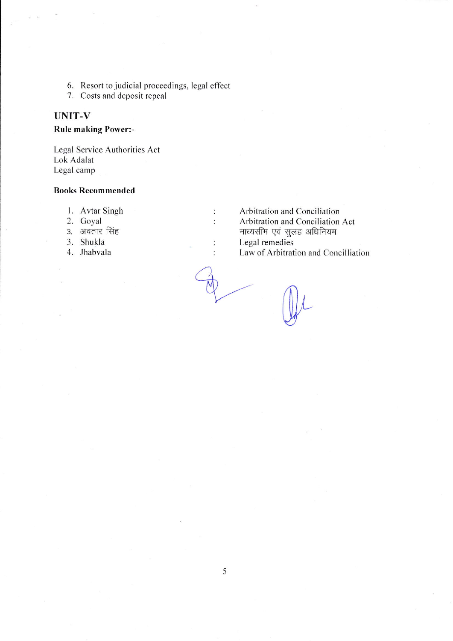- 6. Resort to judicial proceedings, legal effect
- 7. Costs and deposit repeal

# **UNIT-V**

**Rule making Power:-**

Legal Service Authorities Act Lok Adalat Legal camp

#### **Books Recommended**

- 1. Avtar Singh
- 2. Goyal
- 3. अवतार सिंह
- 3. Shukla
- 4. Jhabvala

Arbitration and Conciliation Arbitration and Conciliation Act माध्यसीम एवं सुलह अधिनियम Legal remedies Law of Arbitration and Concilliation

 $\ddot{\cdot}$ 

 $\ddot{\cdot}$ 

 $\vdots$ 

 $\ddot{\cdot}$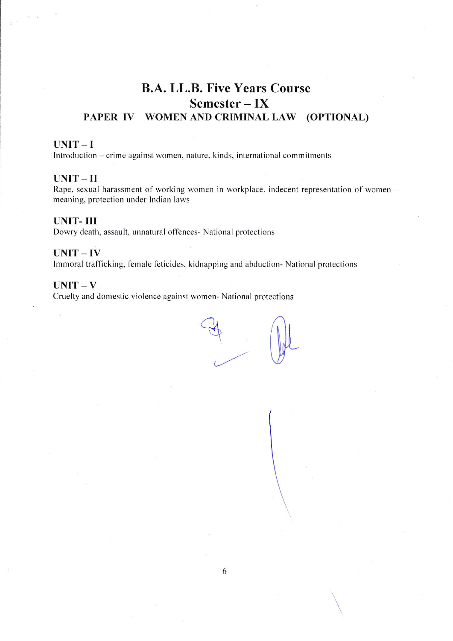# B.A. LL.B. Five Years Course Semester - IX PAPER IV WOMEN AND CRIMINAL LAW (OPTIONAL)

### UNIT-I

Introduction – crime against women, nature, kinds, international commitments

#### $UNIT - II$

Rape, sexual harassment of working women in workplace, indecent representation of women  $$ meaning. protection under Indian laws

#### UNIT- III

Dowry death, assault, unnatural offences- National protections

#### UNIT-IV

Immoral trafficking, female feticides, kidnapping and abduction- National protections

#### $UNIT-V$

Cruelty and domestic violence against women- National protections

Eg (AL